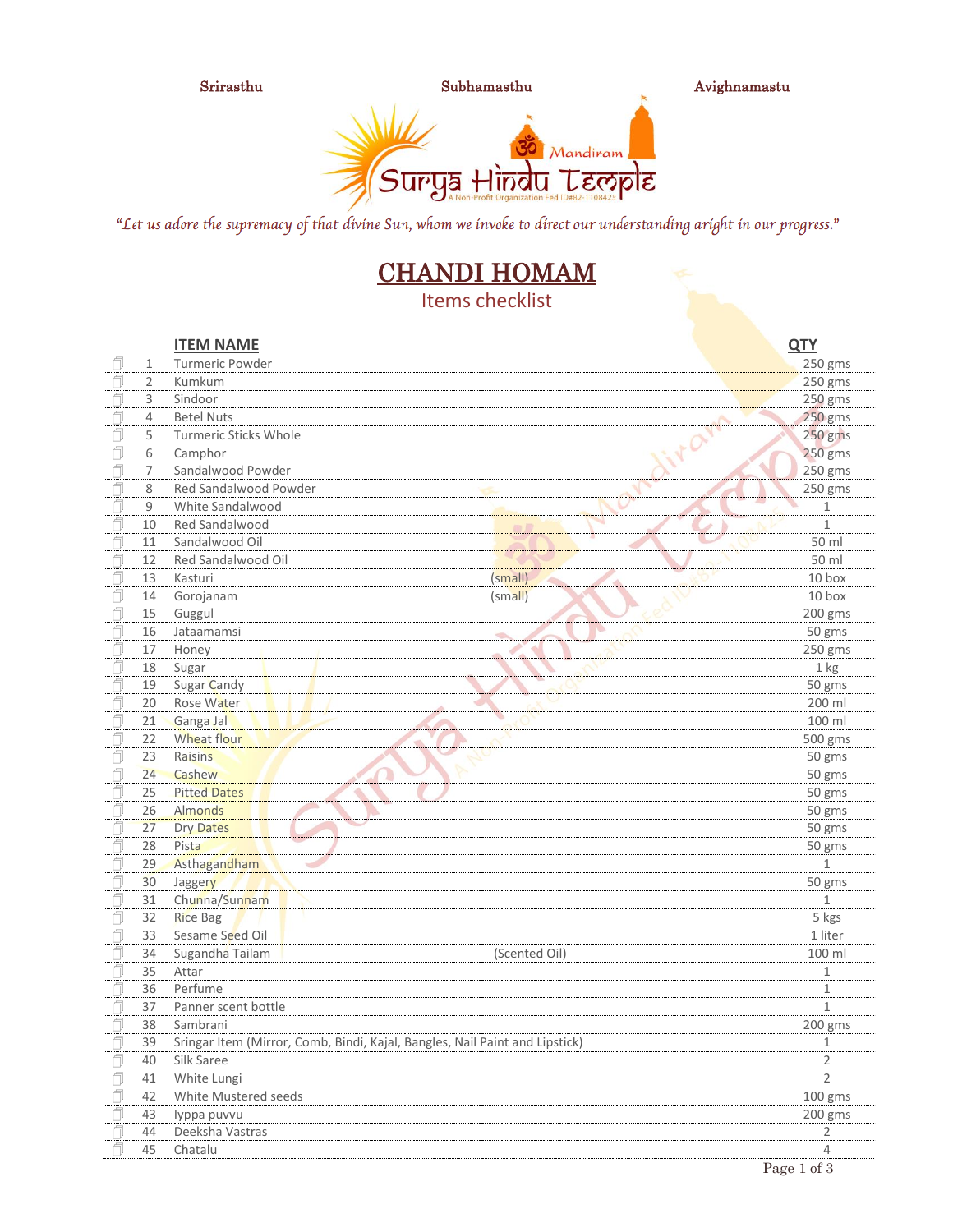

Srirasthu Subhamasthu Avighnamastu



"Let us adore the supremacy of that divine Sun, whom we invoke to direct our understanding aright in our progress."

# CHANDI HOMAM

Items checklist

|   |    | <b>ITEM NAME</b>                                                            |               | <b>QTY</b>     |
|---|----|-----------------------------------------------------------------------------|---------------|----------------|
|   | 1  | Turmeric Powder                                                             |               | 250 gms        |
|   | 2  | Kumkum                                                                      |               | 250 gms        |
|   | 3  | Sindoor                                                                     |               | 250 gms        |
|   | 4  | <b>Betel Nuts</b>                                                           |               | 250 gms        |
|   | 5  | <b>Turmeric Sticks Whole</b>                                                |               | 250 gms        |
| Ő | 6  | Camphor                                                                     |               | 250 gms        |
|   | 7  | Sandalwood Powder                                                           |               | 250 gms        |
|   | 8  | Red Sandalwood Powder                                                       |               | 250 gms        |
| ń | 9  | White Sandalwood                                                            |               | $\mathbf 1$    |
| Ō | 10 | Red Sandalwood                                                              |               | $\mathbf{1}$   |
| f | 11 | Sandalwood Oil                                                              |               | 50 ml          |
|   | 12 | Red Sandalwood Oil                                                          |               | 50 ml          |
|   | 13 | Kasturi                                                                     | (small)<br>٠  | 10 box         |
|   | 14 | Gorojanam                                                                   | $(s$ mall $)$ | 10 box         |
|   | 15 | Guggul                                                                      |               | 200 gms        |
|   | 16 | Jataamamsi                                                                  | $\Rightarrow$ | 50 gms         |
|   | 17 | Honey                                                                       |               | 250 gms        |
|   | 18 | Sugar                                                                       |               | $1$ kg         |
|   | 19 | Sugar Candy                                                                 |               | 50 gms         |
|   | 20 | Rose Water                                                                  |               | 200 ml         |
| Ō | 21 | Ganga Jal                                                                   |               | 100 ml         |
| f | 22 | Wheat flour                                                                 |               | 500 gms        |
|   | 23 | Raisins                                                                     |               | 50 gms         |
|   | 24 | Cashew                                                                      |               | 50 gms         |
|   | 25 | <b>Pitted Dates</b>                                                         |               | 50 gms         |
|   | 26 | <b>Almonds</b>                                                              |               | 50 gms         |
|   | 27 | <b>Dry Dates</b>                                                            |               | 50 gms         |
|   | 28 | Pista                                                                       |               | 50 gms         |
| f | 29 | Asthagandham                                                                |               | $\mathbf 1$    |
|   | 30 | Jaggery                                                                     |               | 50 gms         |
|   | 31 | Chunna/Sunnam                                                               |               | $\mathbf{1}$   |
|   | 32 | <b>Rice Bag</b>                                                             |               | 5 kgs          |
|   | 33 | Sesame Seed Oil                                                             |               | 1 liter        |
| A | 34 | Sugandha Tailam                                                             | (Scented Oil) | 100 ml         |
| f | 35 | Attar                                                                       |               | 1              |
|   | 36 | Perfume                                                                     |               | $\mathbf 1$    |
|   | 37 | Panner scent bottle                                                         |               | $\mathbf{1}$   |
|   | 38 | Sambrani                                                                    |               | 200 gms        |
|   | 39 | Sringar Item (Mirror, Comb, Bindi, Kajal, Bangles, Nail Paint and Lipstick) |               | 1              |
|   | 40 | Silk Saree                                                                  |               | $\overline{2}$ |
|   | 41 | White Lungi                                                                 |               | $\overline{2}$ |
|   | 42 | White Mustered seeds                                                        |               | 100 gms        |
|   | 43 | lyppa puvvu                                                                 |               | 200 gms        |
|   | 44 | Deeksha Vastras                                                             |               | $\overline{2}$ |
|   | 45 | Chatalu                                                                     |               | 4              |
|   |    |                                                                             |               | Page 1 of 3    |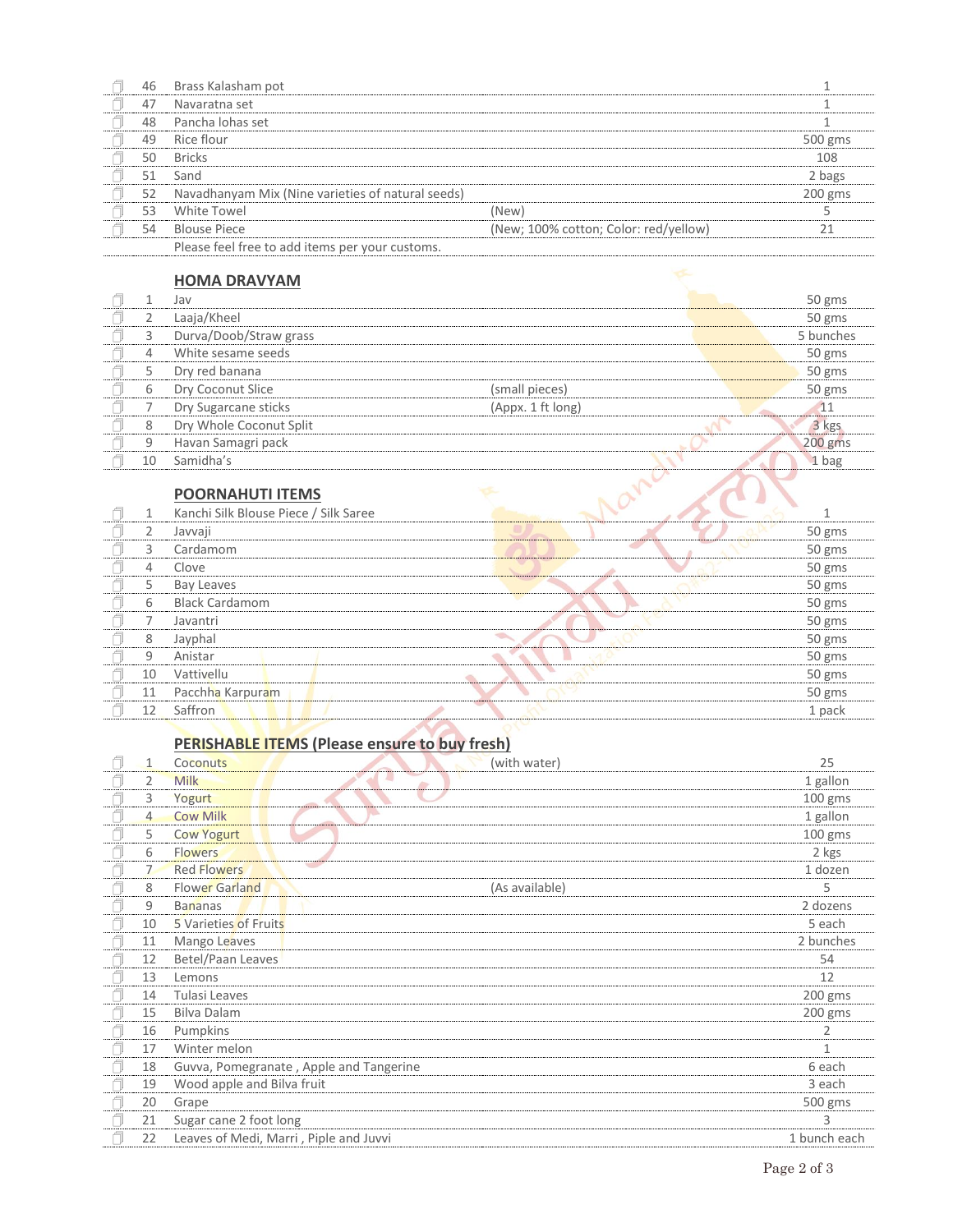| 46 | Brass Kalasham pot                                |                                       |         |
|----|---------------------------------------------------|---------------------------------------|---------|
| 47 | Navaratna set                                     |                                       |         |
| 48 | Pancha lohas set                                  |                                       |         |
| 49 | Rice flour                                        |                                       | 500 gms |
| 50 | <b>Bricks</b>                                     |                                       | 108     |
| 51 | Sand                                              |                                       | 2 bags  |
| 52 | Navadhanyam Mix (Nine varieties of natural seeds) |                                       | 200 gms |
| 53 | White Towel                                       | (New)                                 |         |
| 54 | <b>Blouse Piece</b>                               | (New; 100% cotton; Color: red/yellow) | 21      |
|    | Please feel free to add items per your customs.   |                                       |         |

#### **HOMA DRAVYAM**

|    | Jav                     |                   | 50 gms    |
|----|-------------------------|-------------------|-----------|
| 2  | Laaja/Kheel             |                   | 50 gms    |
| 3  | Durva/Doob/Straw grass  |                   | 5 bunches |
| 4  | White sesame seeds      |                   | 50 gms    |
| 5  | Dry red banana          |                   | 50 gms    |
| 6  | Dry Coconut Slice       | (small pieces)    | 50 gms    |
|    | Dry Sugarcane sticks    | (Appx. 1 ft long) | 11        |
| 8  | Dry Whole Coconut Split |                   | 3 kgs     |
| 9  | Havan Samagri pack      |                   | $200$ gms |
| 10 | Samidha's               |                   | 1 bag     |
|    |                         |                   |           |
|    | <b>POORNAHUTI ITEMS</b> |                   |           |

### **POORNAHUTI ITEMS**

|    | Kanchi Silk Blouse Piece / Silk Saree |  |  |        |
|----|---------------------------------------|--|--|--------|
|    | Javvaji                               |  |  | 50 gms |
| З  | Cardamom                              |  |  | 50 gms |
| 4  | Clove                                 |  |  | 50 gms |
| 5  | Bay Leaves                            |  |  | 50 gms |
| 6  | <b>Black Cardamom</b>                 |  |  | 50 gms |
|    | Javantri                              |  |  | 50 gms |
| 8  | Jayphal                               |  |  | 50 gms |
| 9  | Anistar                               |  |  | 50 gms |
| 10 | Vattivellu                            |  |  | 50 gms |
| 11 | Pacchha Karpuram                      |  |  | 50 gms |
| 12 | Saffron                               |  |  | 1 pack |

## **PERISHABLE ITEMS (Please ensure to buy fresh)**

|   | $\mathbf{1}$   | (with water)<br>Coconuts                | 25           |
|---|----------------|-----------------------------------------|--------------|
|   | 2              | <b>Milk</b>                             | 1 gallon     |
|   | 3              | Yogurt                                  | $100$ gms    |
|   | $\overline{4}$ | o.<br><b>Cow Milk</b>                   | 1 gallon     |
|   | 5              | <b>Cow Yogurt</b>                       | $100$ gms    |
|   | 6              | <b>Flowers</b>                          | 2 kgs        |
|   | $\overline{7}$ | <b>Red Flowers</b>                      | 1 dozen      |
|   | 8              | <b>Flower Garland</b><br>(As available) | 5            |
|   | 9              | <b>Bananas</b>                          | 2 dozens     |
| A | 10             | 5 Varieties of Fruits                   | 5 each       |
|   | 11             | Mango Leaves                            | 2 bunches    |
|   | 12             | Betel/Paan Leaves                       | 54           |
|   | 13             | Lemons                                  | 12           |
|   | 14             | Tulasi Leaves                           | 200 gms      |
|   | 15             | Bilva Dalam                             | $200$ gms    |
|   | 16             | Pumpkins                                | 2            |
|   | 17             | Winter melon                            | $\mathbf{1}$ |
|   | 18             | Guvva, Pomegranate, Apple and Tangerine | 6 each       |
|   | 19             | Wood apple and Bilva fruit              | 3 each       |
|   | 20             | Grape                                   | 500 gms      |
|   | 21             | Sugar cane 2 foot long                  | 3            |
|   | 22             | Leaves of Medi, Marri, Piple and Juvvi  | 1 bunch each |